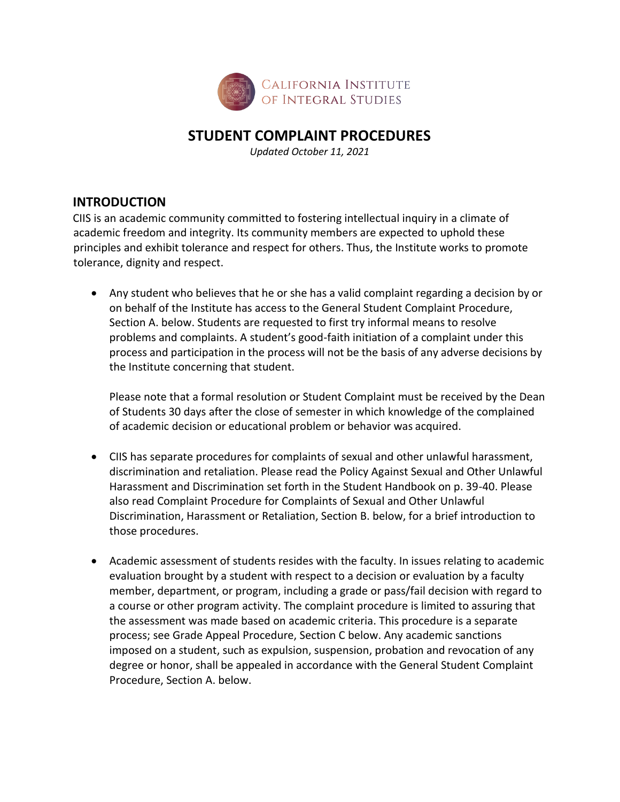

# **STUDENT COMPLAINT PROCEDURES**

*Updated October 11, 2021* 

#### **INTRODUCTION**

CIIS is an academic community committed to fostering intellectual inquiry in a climate of academic freedom and integrity. Its community members are expected to uphold these principles and exhibit tolerance and respect for others. Thus, the Institute works to promote tolerance, dignity and respect.

 Any student who believes that he or she has a valid complaint regarding a decision by or on behalf of the Institute has access to the General Student Complaint Procedure, Section A. below. Students are requested to first try informal means to resolve problems and complaints. A student's good‐faith initiation of a complaint under this process and participation in the process will not be the basis of any adverse decisions by the Institute concerning that student.

Please note that a formal resolution or Student Complaint must be received by the Dean of Students 30 days after the close of semester in which knowledge of the complained of academic decision or educational problem or behavior was acquired.

- CIIS has separate procedures for complaints of sexual and other unlawful harassment, discrimination and retaliation. Please read the Policy Against Sexual and Other Unlawful Harassment and Discrimination set forth in the Student Handbook on p. 39‐40. Please also read Complaint Procedure for Complaints of Sexual and Other Unlawful Discrimination, Harassment or Retaliation, Section B. below, for a brief introduction to those procedures.
- Academic assessment of students resides with the faculty. In issues relating to academic evaluation brought by a student with respect to a decision or evaluation by a faculty member, department, or program, including a grade or pass/fail decision with regard to a course or other program activity. The complaint procedure is limited to assuring that the assessment was made based on academic criteria. This procedure is a separate process; see Grade Appeal Procedure, Section C below. Any academic sanctions imposed on a student, such as expulsion, suspension, probation and revocation of any degree or honor, shall be appealed in accordance with the General Student Complaint Procedure, Section A. below.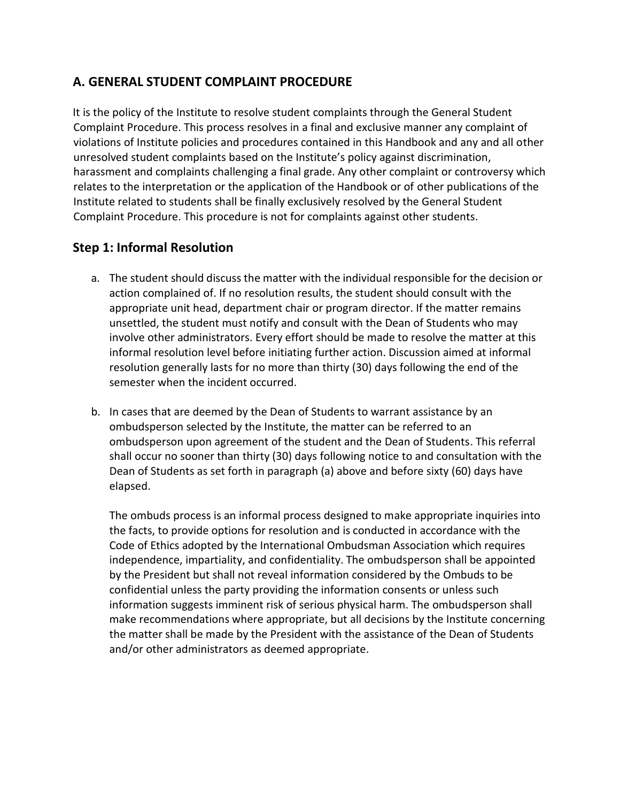# **A. GENERAL STUDENT COMPLAINT PROCEDURE**

It is the policy of the Institute to resolve student complaints through the General Student Complaint Procedure. This process resolves in a final and exclusive manner any complaint of violations of Institute policies and procedures contained in this Handbook and any and all other unresolved student complaints based on the Institute's policy against discrimination, harassment and complaints challenging a final grade. Any other complaint or controversy which relates to the interpretation or the application of the Handbook or of other publications of the Institute related to students shall be finally exclusively resolved by the General Student Complaint Procedure. This procedure is not for complaints against other students.

# **Step 1: Informal Resolution**

- a. The student should discuss the matter with the individual responsible for the decision or action complained of. If no resolution results, the student should consult with the appropriate unit head, department chair or program director. If the matter remains unsettled, the student must notify and consult with the Dean of Students who may involve other administrators. Every effort should be made to resolve the matter at this informal resolution level before initiating further action. Discussion aimed at informal resolution generally lasts for no more than thirty (30) days following the end of the semester when the incident occurred.
- b. In cases that are deemed by the Dean of Students to warrant assistance by an ombudsperson selected by the Institute, the matter can be referred to an ombudsperson upon agreement of the student and the Dean of Students. This referral shall occur no sooner than thirty (30) days following notice to and consultation with the Dean of Students as set forth in paragraph (a) above and before sixty (60) days have elapsed.

The ombuds process is an informal process designed to make appropriate inquiries into the facts, to provide options for resolution and is conducted in accordance with the Code of Ethics adopted by the International Ombudsman Association which requires independence, impartiality, and confidentiality. The ombudsperson shall be appointed by the President but shall not reveal information considered by the Ombuds to be confidential unless the party providing the information consents or unless such information suggests imminent risk of serious physical harm. The ombudsperson shall make recommendations where appropriate, but all decisions by the Institute concerning the matter shall be made by the President with the assistance of the Dean of Students and/or other administrators as deemed appropriate.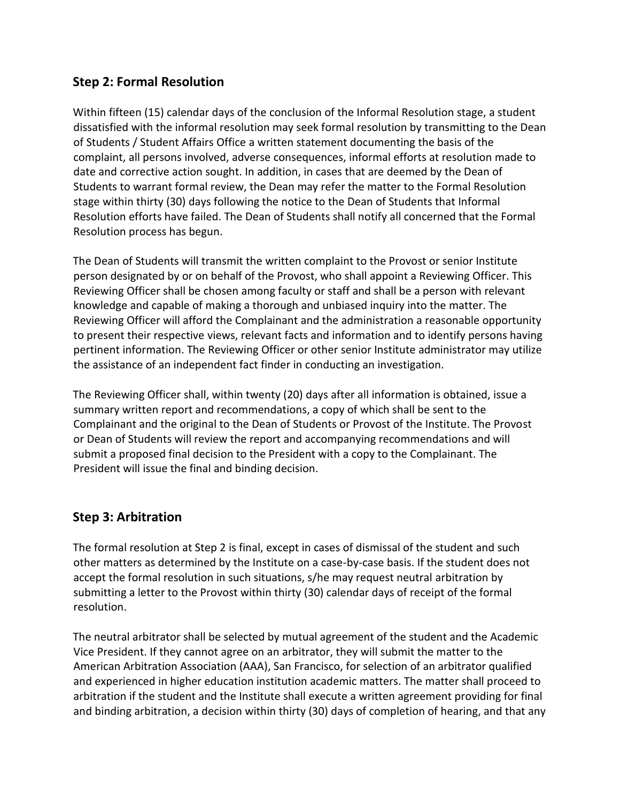# **Step 2: Formal Resolution**

Within fifteen (15) calendar days of the conclusion of the Informal Resolution stage, a student dissatisfied with the informal resolution may seek formal resolution by transmitting to the Dean of Students / Student Affairs Office a written statement documenting the basis of the complaint, all persons involved, adverse consequences, informal efforts at resolution made to date and corrective action sought. In addition, in cases that are deemed by the Dean of Students to warrant formal review, the Dean may refer the matter to the Formal Resolution stage within thirty (30) days following the notice to the Dean of Students that Informal Resolution efforts have failed. The Dean of Students shall notify all concerned that the Formal Resolution process has begun.

The Dean of Students will transmit the written complaint to the Provost or senior Institute person designated by or on behalf of the Provost, who shall appoint a Reviewing Officer. This Reviewing Officer shall be chosen among faculty or staff and shall be a person with relevant knowledge and capable of making a thorough and unbiased inquiry into the matter. The Reviewing Officer will afford the Complainant and the administration a reasonable opportunity to present their respective views, relevant facts and information and to identify persons having pertinent information. The Reviewing Officer or other senior Institute administrator may utilize the assistance of an independent fact finder in conducting an investigation.

The Reviewing Officer shall, within twenty (20) days after all information is obtained, issue a summary written report and recommendations, a copy of which shall be sent to the Complainant and the original to the Dean of Students or Provost of the Institute. The Provost or Dean of Students will review the report and accompanying recommendations and will submit a proposed final decision to the President with a copy to the Complainant. The President will issue the final and binding decision.

# **Step 3: Arbitration**

The formal resolution at Step 2 is final, except in cases of dismissal of the student and such other matters as determined by the Institute on a case‐by‐case basis. If the student does not accept the formal resolution in such situations, s/he may request neutral arbitration by submitting a letter to the Provost within thirty (30) calendar days of receipt of the formal resolution.

The neutral arbitrator shall be selected by mutual agreement of the student and the Academic Vice President. If they cannot agree on an arbitrator, they will submit the matter to the American Arbitration Association (AAA), San Francisco, for selection of an arbitrator qualified and experienced in higher education institution academic matters. The matter shall proceed to arbitration if the student and the Institute shall execute a written agreement providing for final and binding arbitration, a decision within thirty (30) days of completion of hearing, and that any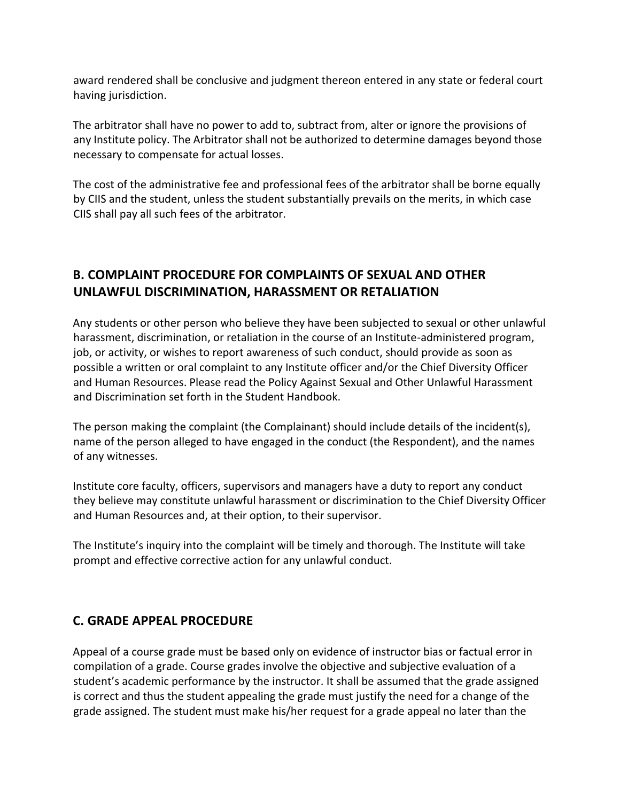award rendered shall be conclusive and judgment thereon entered in any state or federal court having jurisdiction.

The arbitrator shall have no power to add to, subtract from, alter or ignore the provisions of any Institute policy. The Arbitrator shall not be authorized to determine damages beyond those necessary to compensate for actual losses.

The cost of the administrative fee and professional fees of the arbitrator shall be borne equally by CIIS and the student, unless the student substantially prevails on the merits, in which case CIIS shall pay all such fees of the arbitrator.

# **B. COMPLAINT PROCEDURE FOR COMPLAINTS OF SEXUAL AND OTHER UNLAWFUL DISCRIMINATION, HARASSMENT OR RETALIATION**

Any students or other person who believe they have been subjected to sexual or other unlawful harassment, discrimination, or retaliation in the course of an Institute-administered program, job, or activity, or wishes to report awareness of such conduct, should provide as soon as possible a written or oral complaint to any Institute officer and/or the Chief Diversity Officer and Human Resources. Please read the Policy Against Sexual and Other Unlawful Harassment and Discrimination set forth in the Student Handbook.

The person making the complaint (the Complainant) should include details of the incident(s), name of the person alleged to have engaged in the conduct (the Respondent), and the names of any witnesses.

Institute core faculty, officers, supervisors and managers have a duty to report any conduct they believe may constitute unlawful harassment or discrimination to the Chief Diversity Officer and Human Resources and, at their option, to their supervisor.

The Institute's inquiry into the complaint will be timely and thorough. The Institute will take prompt and effective corrective action for any unlawful conduct.

# **C. GRADE APPEAL PROCEDURE**

Appeal of a course grade must be based only on evidence of instructor bias or factual error in compilation of a grade. Course grades involve the objective and subjective evaluation of a student's academic performance by the instructor. It shall be assumed that the grade assigned is correct and thus the student appealing the grade must justify the need for a change of the grade assigned. The student must make his/her request for a grade appeal no later than the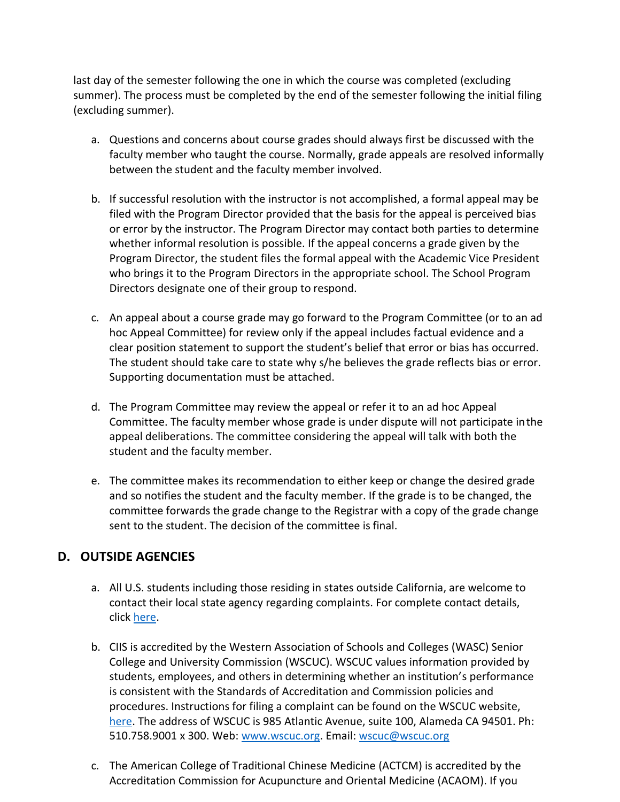last day of the semester following the one in which the course was completed (excluding summer). The process must be completed by the end of the semester following the initial filing (excluding summer).

- a. Questions and concerns about course grades should always first be discussed with the faculty member who taught the course. Normally, grade appeals are resolved informally between the student and the faculty member involved.
- b. If successful resolution with the instructor is not accomplished, a formal appeal may be filed with the Program Director provided that the basis for the appeal is perceived bias or error by the instructor. The Program Director may contact both parties to determine whether informal resolution is possible. If the appeal concerns a grade given by the Program Director, the student files the formal appeal with the Academic Vice President who brings it to the Program Directors in the appropriate school. The School Program Directors designate one of their group to respond.
- c. An appeal about a course grade may go forward to the Program Committee (or to an ad hoc Appeal Committee) for review only if the appeal includes factual evidence and a clear position statement to support the student's belief that error or bias has occurred. The student should take care to state why s/he believes the grade reflects bias or error. Supporting documentation must be attached.
- d. The Program Committee may review the appeal or refer it to an ad hoc Appeal Committee. The faculty member whose grade is under dispute will not participate inthe appeal deliberations. The committee considering the appeal will talk with both the student and the faculty member.
- e. The committee makes its recommendation to either keep or change the desired grade and so notifies the student and the faculty member. If the grade is to be changed, the committee forwards the grade change to the Registrar with a copy of the grade change sent to the student. The decision of the committee is final.

# **D. OUTSIDE AGENCIES**

- a. All U.S. students including those residing in states outside California, are welcome to contact their local state agency regarding complaints. For complete contact details, click [here.](https://www.ciis.edu/Student%20Affairs/Student%20Affairs%20Documents/Student%20Affairs%20PDFs/2020%20October%20Student%20Complaint%20Info%20State%20and%20Agency.pdf)
- b. CIIS is accredited by the Western Association of Schools and Colleges (WASC) Senior College and University Commission (WSCUC). WSCUC values information provided by students, employees, and others in determining whether an institution's performance is consistent with the Standards of Accreditation and Commission policies and procedures. Instructions for filing a complaint can be found on the WSCUC website, [here.](https://wascsenior.app.box.com/s/qlfs91c4lujckblp2puy) The address of WSCUC is 985 Atlantic Avenue, suite 100, Alameda CA 94501. Ph: 510.758.9001 x 300. Web: [www.wscuc.org.](http://www.wscuc.org/) Email: [wscuc@wscuc.org](mailto:wscuc@wscuc.org)
- c. The American College of Traditional Chinese Medicine (ACTCM) is accredited by the Accreditation Commission for Acupuncture and Oriental Medicine (ACAOM). If you